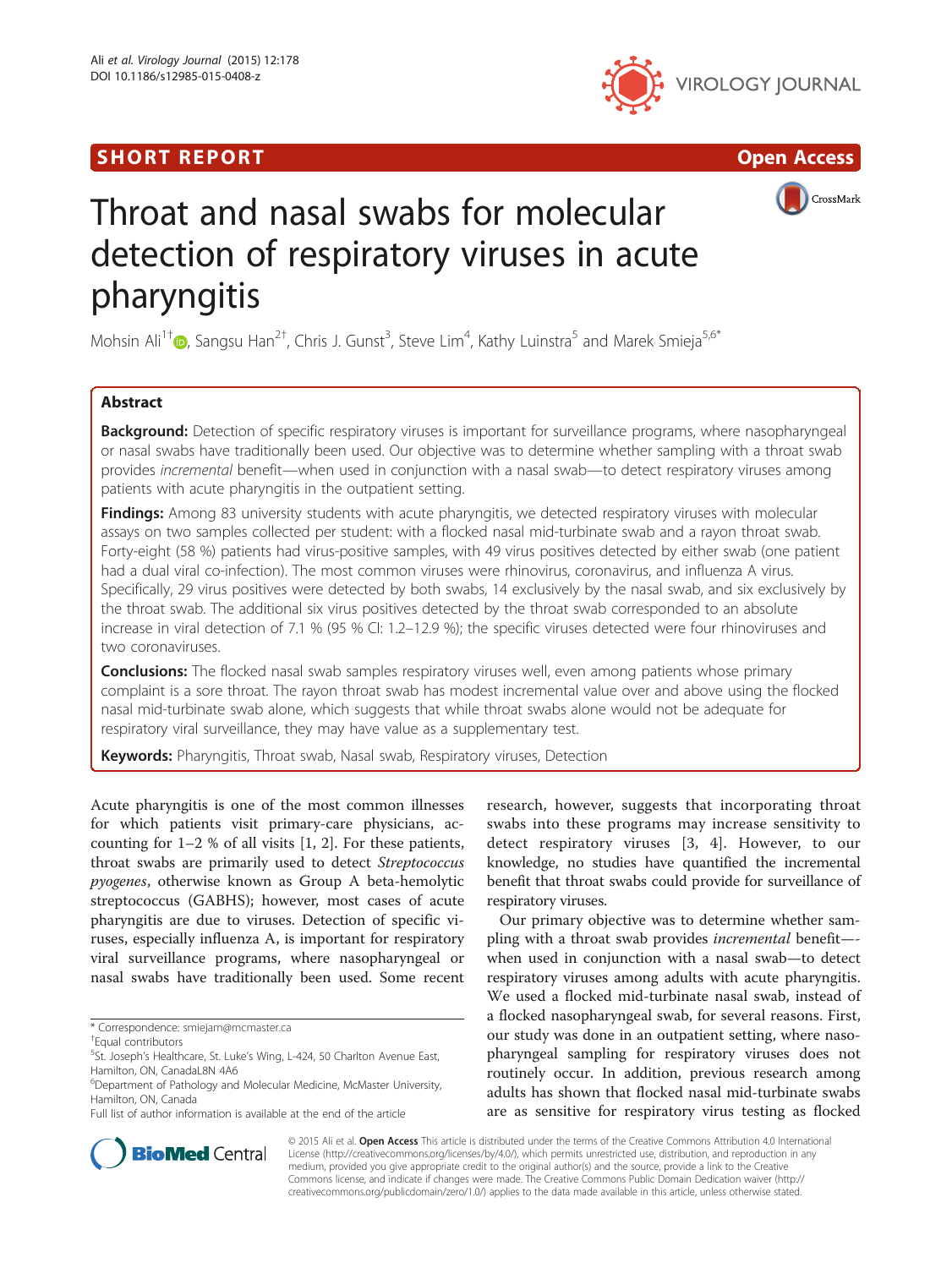# **SHORT REPORT CONSUMING THE SHORT CONSUMING THE CONSUMING THE CONSUMING THE CONSUMING THE CONSUMING THE CONSUMING T**







# Throat and nasal swabs for molecular detection of respiratory viruses in acute pharyngitis

Mohsin Ali<sup>1†</sup> , Sangsu Han<sup>2†</sup>, Chris J. Gunst<sup>3</sup>, Steve Lim<sup>4</sup>, Kathy Luinstra<sup>5</sup> and Marek Smieja<sup>5,6\*</sup>

# Abstract

Background: Detection of specific respiratory viruses is important for surveillance programs, where nasopharyngeal or nasal swabs have traditionally been used. Our objective was to determine whether sampling with a throat swab provides incremental benefit—when used in conjunction with a nasal swab—to detect respiratory viruses among patients with acute pharyngitis in the outpatient setting.

Findings: Among 83 university students with acute pharyngitis, we detected respiratory viruses with molecular assays on two samples collected per student: with a flocked nasal mid-turbinate swab and a rayon throat swab. Forty-eight (58 %) patients had virus-positive samples, with 49 virus positives detected by either swab (one patient had a dual viral co-infection). The most common viruses were rhinovirus, coronavirus, and influenza A virus. Specifically, 29 virus positives were detected by both swabs, 14 exclusively by the nasal swab, and six exclusively by the throat swab. The additional six virus positives detected by the throat swab corresponded to an absolute increase in viral detection of 7.1 % (95 % CI: 1.2–12.9 %); the specific viruses detected were four rhinoviruses and two coronaviruses.

**Conclusions:** The flocked nasal swab samples respiratory viruses well, even among patients whose primary complaint is a sore throat. The rayon throat swab has modest incremental value over and above using the flocked nasal mid-turbinate swab alone, which suggests that while throat swabs alone would not be adequate for respiratory viral surveillance, they may have value as a supplementary test.

Keywords: Pharyngitis, Throat swab, Nasal swab, Respiratory viruses, Detection

Acute pharyngitis is one of the most common illnesses for which patients visit primary-care physicians, accounting for 1–2 % of all visits [[1, 2\]](#page-3-0). For these patients, throat swabs are primarily used to detect Streptococcus pyogenes, otherwise known as Group A beta-hemolytic streptococcus (GABHS); however, most cases of acute pharyngitis are due to viruses. Detection of specific viruses, especially influenza A, is important for respiratory viral surveillance programs, where nasopharyngeal or nasal swabs have traditionally been used. Some recent

research, however, suggests that incorporating throat swabs into these programs may increase sensitivity to detect respiratory viruses [[3, 4](#page-3-0)]. However, to our knowledge, no studies have quantified the incremental benefit that throat swabs could provide for surveillance of respiratory viruses.

Our primary objective was to determine whether sampling with a throat swab provides incremental benefit— when used in conjunction with a nasal swab—to detect respiratory viruses among adults with acute pharyngitis. We used a flocked mid-turbinate nasal swab, instead of a flocked nasopharyngeal swab, for several reasons. First, our study was done in an outpatient setting, where nasopharyngeal sampling for respiratory viruses does not routinely occur. In addition, previous research among adults has shown that flocked nasal mid-turbinate swabs are as sensitive for respiratory virus testing as flocked



© 2015 Ali et al. Open Access This article is distributed under the terms of the Creative Commons Attribution 4.0 International License ([http://creativecommons.org/licenses/by/4.0/\)](http://creativecommons.org/licenses/by/4.0/), which permits unrestricted use, distribution, and reproduction in any medium, provided you give appropriate credit to the original author(s) and the source, provide a link to the Creative Commons license, and indicate if changes were made. The Creative Commons Public Domain Dedication waiver ([http://](http://creativecommons.org/publicdomain/zero/1.0/) [creativecommons.org/publicdomain/zero/1.0/\)](http://creativecommons.org/publicdomain/zero/1.0/) applies to the data made available in this article, unless otherwise stated.

<sup>\*</sup> Correspondence: [smiejam@mcmaster.ca](mailto:smiejam@mcmaster.ca) †

Equal contributors

<sup>&</sup>lt;sup>5</sup>St. Joseph's Healthcare, St. Luke's Wing, L-424, 50 Charlton Avenue East, Hamilton, ON, CanadaL8N 4A6

<sup>6</sup> Department of Pathology and Molecular Medicine, McMaster University, Hamilton, ON, Canada

Full list of author information is available at the end of the article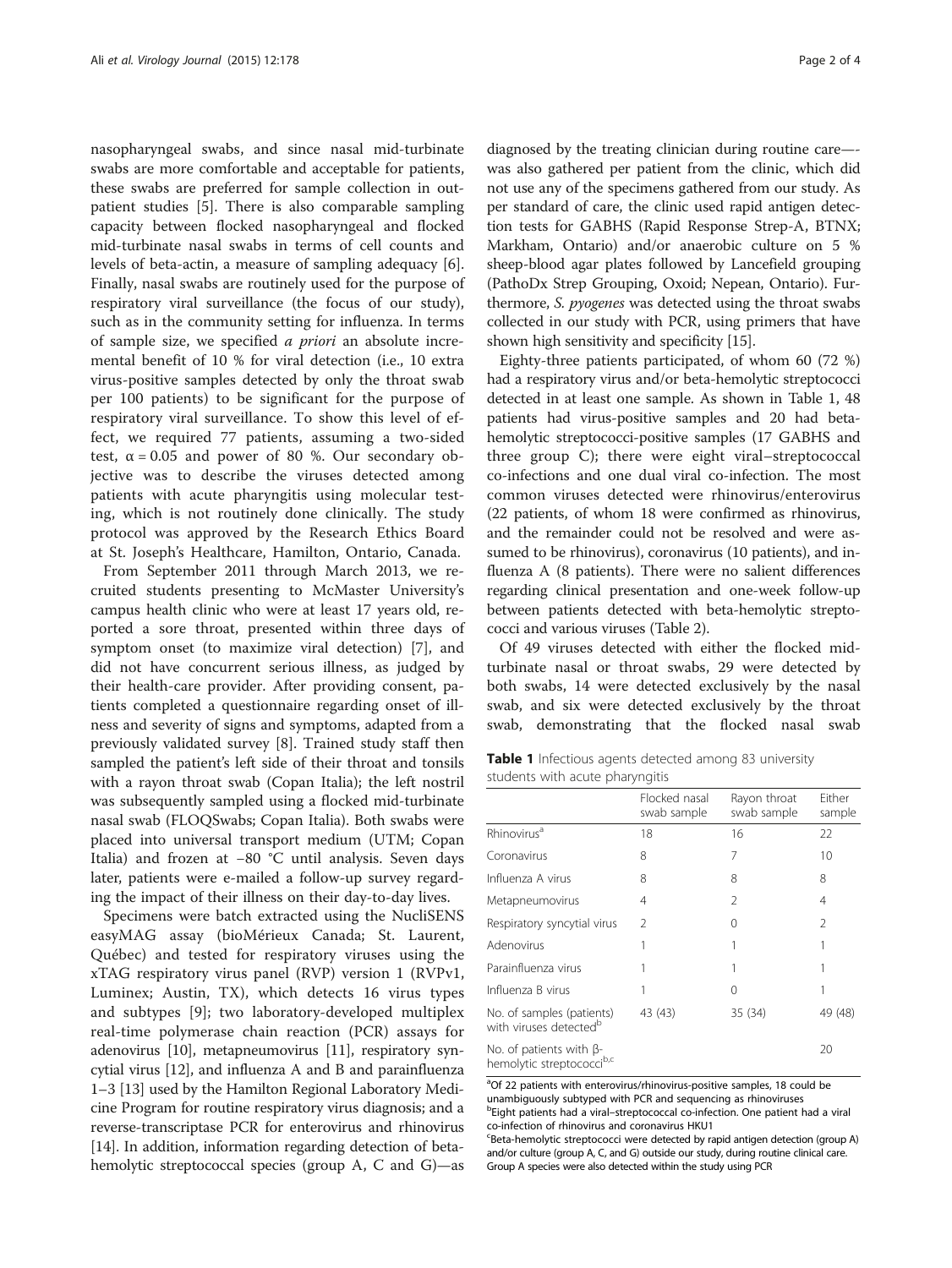nasopharyngeal swabs, and since nasal mid-turbinate swabs are more comfortable and acceptable for patients, these swabs are preferred for sample collection in outpatient studies [[5\]](#page-3-0). There is also comparable sampling capacity between flocked nasopharyngeal and flocked mid-turbinate nasal swabs in terms of cell counts and levels of beta-actin, a measure of sampling adequacy [\[6](#page-3-0)]. Finally, nasal swabs are routinely used for the purpose of respiratory viral surveillance (the focus of our study), such as in the community setting for influenza. In terms of sample size, we specified a priori an absolute incremental benefit of 10 % for viral detection (i.e., 10 extra virus-positive samples detected by only the throat swab per 100 patients) to be significant for the purpose of respiratory viral surveillance. To show this level of effect, we required 77 patients, assuming a two-sided test,  $\alpha = 0.05$  and power of 80 %. Our secondary objective was to describe the viruses detected among patients with acute pharyngitis using molecular testing, which is not routinely done clinically. The study protocol was approved by the Research Ethics Board at St. Joseph's Healthcare, Hamilton, Ontario, Canada.

From September 2011 through March 2013, we recruited students presenting to McMaster University's campus health clinic who were at least 17 years old, reported a sore throat, presented within three days of symptom onset (to maximize viral detection) [\[7](#page-3-0)], and did not have concurrent serious illness, as judged by their health-care provider. After providing consent, patients completed a questionnaire regarding onset of illness and severity of signs and symptoms, adapted from a previously validated survey [[8\]](#page-3-0). Trained study staff then sampled the patient's left side of their throat and tonsils with a rayon throat swab (Copan Italia); the left nostril was subsequently sampled using a flocked mid-turbinate nasal swab (FLOQSwabs; Copan Italia). Both swabs were placed into universal transport medium (UTM; Copan Italia) and frozen at −80 °C until analysis. Seven days later, patients were e-mailed a follow-up survey regarding the impact of their illness on their day-to-day lives.

Specimens were batch extracted using the NucliSENS easyMAG assay (bioMérieux Canada; St. Laurent, Québec) and tested for respiratory viruses using the xTAG respiratory virus panel (RVP) version 1 (RVPv1, Luminex; Austin, TX), which detects 16 virus types and subtypes [\[9\]](#page-3-0); two laboratory-developed multiplex real-time polymerase chain reaction (PCR) assays for adenovirus [[10](#page-3-0)], metapneumovirus [[11](#page-3-0)], respiratory syncytial virus [\[12\]](#page-3-0), and influenza A and B and parainfluenza 1–3 [[13\]](#page-3-0) used by the Hamilton Regional Laboratory Medicine Program for routine respiratory virus diagnosis; and a reverse-transcriptase PCR for enterovirus and rhinovirus [[14](#page-3-0)]. In addition, information regarding detection of betahemolytic streptococcal species (group A, C and G)—as diagnosed by the treating clinician during routine care— was also gathered per patient from the clinic, which did not use any of the specimens gathered from our study. As per standard of care, the clinic used rapid antigen detection tests for GABHS (Rapid Response Strep-A, BTNX; Markham, Ontario) and/or anaerobic culture on 5 % sheep-blood agar plates followed by Lancefield grouping (PathoDx Strep Grouping, Oxoid; Nepean, Ontario). Furthermore, S. pyogenes was detected using the throat swabs collected in our study with PCR, using primers that have shown high sensitivity and specificity [\[15\]](#page-3-0).

Eighty-three patients participated, of whom 60 (72 %) had a respiratory virus and/or beta-hemolytic streptococci detected in at least one sample. As shown in Table 1, 48 patients had virus-positive samples and 20 had betahemolytic streptococci-positive samples (17 GABHS and three group C); there were eight viral–streptococcal co-infections and one dual viral co-infection. The most common viruses detected were rhinovirus/enterovirus (22 patients, of whom 18 were confirmed as rhinovirus, and the remainder could not be resolved and were assumed to be rhinovirus), coronavirus (10 patients), and influenza A (8 patients). There were no salient differences regarding clinical presentation and one-week follow-up between patients detected with beta-hemolytic streptococci and various viruses (Table [2\)](#page-2-0).

Of 49 viruses detected with either the flocked midturbinate nasal or throat swabs, 29 were detected by both swabs, 14 were detected exclusively by the nasal swab, and six were detected exclusively by the throat swab, demonstrating that the flocked nasal swab

| Table 1 Infectious agents detected among 83 university |  |  |  |
|--------------------------------------------------------|--|--|--|
| students with acute pharyngitis                        |  |  |  |

|                                                                  | Flocked nasal<br>swab sample | Rayon throat<br>swab sample | Either<br>sample |
|------------------------------------------------------------------|------------------------------|-----------------------------|------------------|
| Rhinovirus <sup>a</sup>                                          | 18                           | 16                          | 22               |
| Coronavirus                                                      | 8                            | 7                           | 10               |
| Influenza A virus                                                | 8                            | 8                           | 8                |
| Metapneumovirus                                                  | 4                            | 2                           | 4                |
| Respiratory syncytial virus                                      | $\mathcal{P}$                | 0                           | $\mathfrak{D}$   |
| Adenovirus                                                       |                              |                             |                  |
| Parainfluenza virus                                              |                              |                             |                  |
| Influenza B virus                                                |                              | 0                           |                  |
| No. of samples (patients)<br>with viruses detected <sup>b</sup>  | 43 (43)                      | 35 (34)                     | 49 (48)          |
| No. of patients with β-<br>hemolytic streptococci <sup>b,c</sup> |                              |                             | 20               |

<sup>a</sup>Of 22 patients with enterovirus/rhinovirus-positive samples, 18 could be unambiguously subtyped with PCR and sequencing as rhinoviruses **bEight patients had a viral-streptococcal co-infection. One patient had a viral** co-infection of rhinovirus and coronavirus HKU1

<sup>c</sup>Beta-hemolytic streptococci were detected by rapid antigen detection (group A) and/or culture (group A, C, and G) outside our study, during routine clinical care. Group A species were also detected within the study using PCR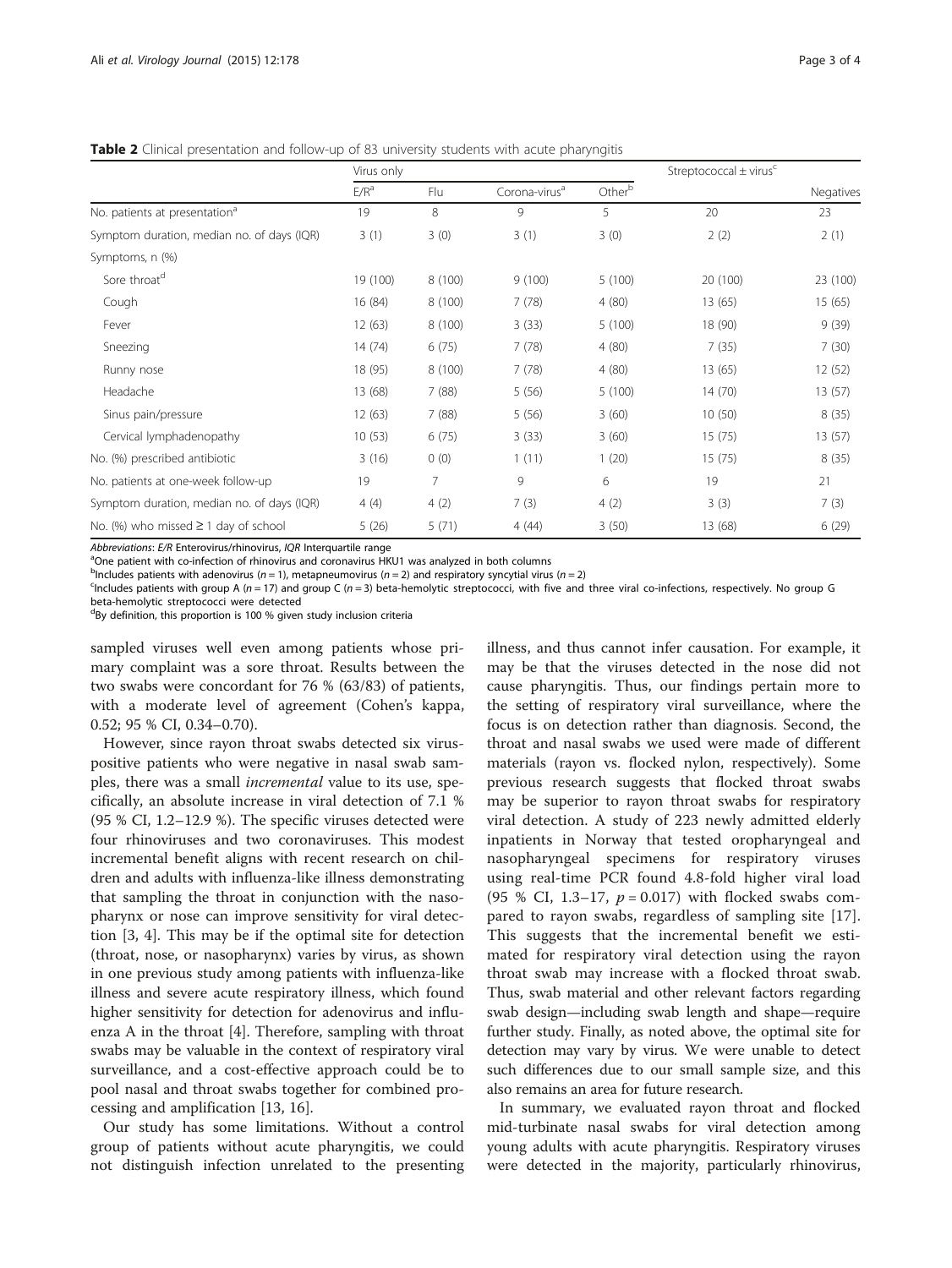<span id="page-2-0"></span>**Table 2** Clinical presentation and follow-up of 83 university students with acute pharyngitis

|                                            | Virus only       |         |                           |                    | Streptococcal $\pm$ virus <sup>c</sup> | Negatives |
|--------------------------------------------|------------------|---------|---------------------------|--------------------|----------------------------------------|-----------|
|                                            | E/R <sup>a</sup> | Flu     | Corona-virus <sup>a</sup> | Other <sup>b</sup> |                                        |           |
| No. patients at presentation <sup>a</sup>  | 19               | 8       | 9                         | 5                  | 20                                     | 23        |
| Symptom duration, median no. of days (IQR) | 3(1)             | 3(0)    | 3(1)                      | 3(0)               | 2(2)                                   | 2(1)      |
| Symptoms, n (%)                            |                  |         |                           |                    |                                        |           |
| Sore throat <sup>d</sup>                   | 19 (100)         | 8 (100) | 9(100)                    | 5(100)             | 20 (100)                               | 23 (100)  |
| Cough                                      | 16 (84)          | 8 (100) | 7(78)                     | 4(80)              | 13 (65)                                | 15(65)    |
| Fever                                      | 12(63)           | 8(100)  | 3(33)                     | 5(100)             | 18 (90)                                | 9(39)     |
| Sneezing                                   | 14(74)           | 6(75)   | 7(78)                     | 4(80)              | 7(35)                                  | 7(30)     |
| Runny nose                                 | 18 (95)          | 8(100)  | 7(78)                     | 4(80)              | 13 (65)                                | 12 (52)   |
| Headache                                   | 13 (68)          | 7(88)   | 5(56)                     | 5(100)             | 14(70)                                 | 13(57)    |
| Sinus pain/pressure                        | 12(63)           | 7(88)   | 5(56)                     | 3(60)              | 10(50)                                 | 8(35)     |
| Cervical lymphadenopathy                   | 10(53)           | 6(75)   | 3(33)                     | 3(60)              | 15(75)                                 | 13(57)    |
| No. (%) prescribed antibiotic              | 3(16)            | 0(0)    | 1(11)                     | 1(20)              | 15(75)                                 | 8(35)     |
| No. patients at one-week follow-up         | 19               | 7       | 9                         | 6                  | 19                                     | 21        |
| Symptom duration, median no. of days (IQR) | 4(4)             | 4(2)    | 7(3)                      | 4(2)               | 3(3)                                   | 7(3)      |
| No. (%) who missed $\geq$ 1 day of school  | 5(26)            | 5(71)   | 4(44)                     | 3(50)              | 13 (68)                                | 6(29)     |

Abbreviations: E/R Enterovirus/rhinovirus, IQR Interquartile range

<sup>a</sup>One patient with co-infection of rhinovirus and coronavirus HKU1 was analyzed in both columns

 $b^{\text{th}}$ Includes patients with adenovirus (n = 1), metapneumovirus (n = 2) and respiratory syncytial virus (n = 2)<br>Shockudes patients with group A (n - 17) and group C (n - 3) beta-hemolytic streptococci, with five and

 $<sup>c</sup>$  Includes patients with group A (n = 17) and group C (n = 3) beta-hemolytic streptococci, with five and three viral co-infections, respectively. No group G</sup> beta-hemolytic streptococci were detected

<sup>d</sup>By definition, this proportion is 100 % given study inclusion criteria

sampled viruses well even among patients whose primary complaint was a sore throat. Results between the two swabs were concordant for 76 % (63/83) of patients, with a moderate level of agreement (Cohen's kappa, 0.52; 95 % CI, 0.34–0.70).

However, since rayon throat swabs detected six viruspositive patients who were negative in nasal swab samples, there was a small incremental value to its use, specifically, an absolute increase in viral detection of 7.1 % (95 % CI, 1.2–12.9 %). The specific viruses detected were four rhinoviruses and two coronaviruses. This modest incremental benefit aligns with recent research on children and adults with influenza-like illness demonstrating that sampling the throat in conjunction with the nasopharynx or nose can improve sensitivity for viral detection [[3, 4](#page-3-0)]. This may be if the optimal site for detection (throat, nose, or nasopharynx) varies by virus, as shown in one previous study among patients with influenza-like illness and severe acute respiratory illness, which found higher sensitivity for detection for adenovirus and influenza A in the throat [\[4](#page-3-0)]. Therefore, sampling with throat swabs may be valuable in the context of respiratory viral surveillance, and a cost-effective approach could be to pool nasal and throat swabs together for combined processing and amplification [\[13, 16\]](#page-3-0).

Our study has some limitations. Without a control group of patients without acute pharyngitis, we could not distinguish infection unrelated to the presenting

illness, and thus cannot infer causation. For example, it may be that the viruses detected in the nose did not cause pharyngitis. Thus, our findings pertain more to the setting of respiratory viral surveillance, where the focus is on detection rather than diagnosis. Second, the throat and nasal swabs we used were made of different materials (rayon vs. flocked nylon, respectively). Some previous research suggests that flocked throat swabs may be superior to rayon throat swabs for respiratory viral detection. A study of 223 newly admitted elderly inpatients in Norway that tested oropharyngeal and nasopharyngeal specimens for respiratory viruses using real-time PCR found 4.8-fold higher viral load (95 % CI, 1.3–17,  $p = 0.017$ ) with flocked swabs compared to rayon swabs, regardless of sampling site [\[17](#page-3-0)]. This suggests that the incremental benefit we estimated for respiratory viral detection using the rayon throat swab may increase with a flocked throat swab. Thus, swab material and other relevant factors regarding swab design—including swab length and shape—require further study. Finally, as noted above, the optimal site for detection may vary by virus. We were unable to detect such differences due to our small sample size, and this also remains an area for future research.

In summary, we evaluated rayon throat and flocked mid-turbinate nasal swabs for viral detection among young adults with acute pharyngitis. Respiratory viruses were detected in the majority, particularly rhinovirus,